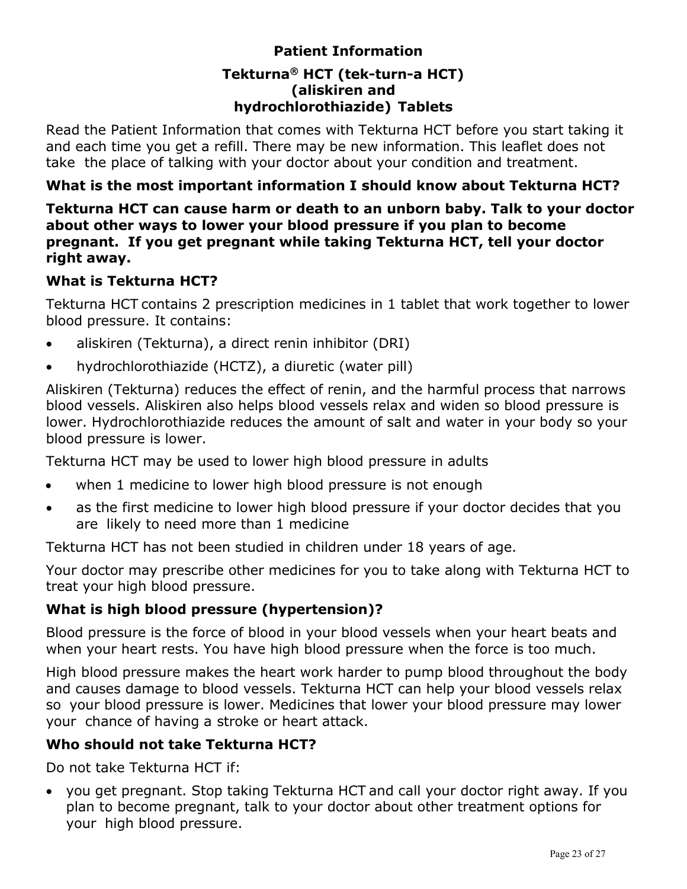# **Patient Information Tekturna® HCT (tek-turn-a HCT) (aliskiren and hydrochlorothiazide) Tablets**

<span id="page-0-0"></span>Read the Patient Information that comes with Tekturna HCT before you start taking it and each time you get a refill. There may be new information. This leaflet does not take the place of talking with your doctor about your condition and treatment.

### **What is the most important information I should know about Tekturna HCT?**

**Tekturna HCT can cause harm or death to an unborn baby. Talk to your doctor about other ways to lower your blood pressure if you plan to become pregnant. If you get pregnant while taking Tekturna HCT, tell your doctor right away.**

### **What is Tekturna HCT?**

Tekturna HCT contains 2 prescription medicines in 1 tablet that work together to lower blood pressure. It contains:

- aliskiren (Tekturna), a direct renin inhibitor (DRI)
- hydrochlorothiazide (HCTZ), a diuretic (water pill)

Aliskiren (Tekturna) reduces the effect of renin, and the harmful process that narrows blood vessels. Aliskiren also helps blood vessels relax and widen so blood pressure is lower. Hydrochlorothiazide reduces the amount of salt and water in your body so your blood pressure is lower.

Tekturna HCT may be used to lower high blood pressure in adults

- when 1 medicine to lower high blood pressure is not enough
- as the first medicine to lower high blood pressure if your doctor decides that you are likely to need more than 1 medicine

Tekturna HCT has not been studied in children under 18 years of age.

Your doctor may prescribe other medicines for you to take along with Tekturna HCT to treat your high blood pressure.

### **What is high blood pressure (hypertension)?**

Blood pressure is the force of blood in your blood vessels when your heart beats and when your heart rests. You have high blood pressure when the force is too much.

High blood pressure makes the heart work harder to pump blood throughout the body and causes damage to blood vessels. Tekturna HCT can help your blood vessels relax so your blood pressure is lower. Medicines that lower your blood pressure may lower your chance of having a stroke or heart attack.

### **Who should not take Tekturna HCT?**

Do not take Tekturna HCT if:

• you get pregnant. Stop taking Tekturna HCT and call your doctor right away. If you plan to become pregnant, talk to your doctor about other treatment options for your high blood pressure.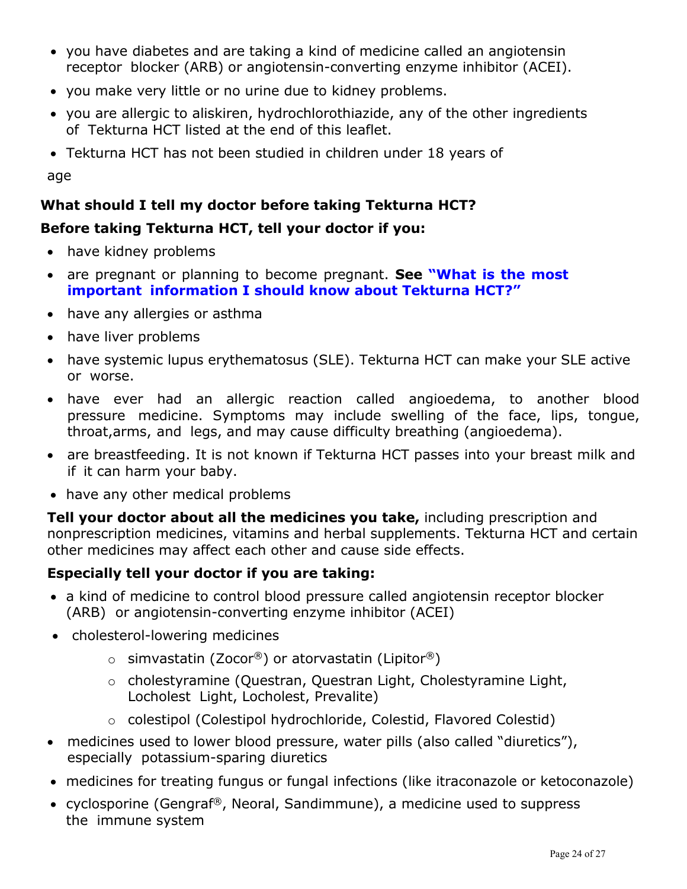- you have diabetes and are taking a kind of medicine called an angiotensin receptor blocker (ARB) or angiotensin-converting enzyme inhibitor (ACEI).
- you make very little or no urine due to kidney problems.
- you are allergic to aliskiren, hydrochlorothiazide, any of the other ingredients of Tekturna HCT listed at the end of this leaflet.
- Tekturna HCT has not been studied in children under 18 years of

age

# **What should I tell my doctor before taking Tekturna HCT?**

# **Before taking Tekturna HCT, tell your doctor if you:**

- have kidney problems
- are pregnant or planning to become pregnant. **See ["What](#page-0-0) is the most important [information I should know about](#page-0-0) Tekturna HCT?"**
- have any allergies or asthma
- have liver problems
- have systemic lupus erythematosus (SLE). Tekturna HCT can make your SLE active or worse.
- have ever had an allergic reaction called angioedema, to another blood pressure medicine. Symptoms may include swelling of the face, lips, tongue, throat,arms, and legs, and may cause difficulty breathing (angioedema).
- are breastfeeding. It is not known if Tekturna HCT passes into your breast milk and if it can harm your baby.
- have any other medical problems

**Tell your doctor about all the medicines you take,** including prescription and nonprescription medicines, vitamins and herbal supplements. Tekturna HCT and certain other medicines may affect each other and cause side effects.

# **Especially tell your doctor if you are taking:**

- a kind of medicine to control blood pressure called angiotensin receptor blocker (ARB) or angiotensin-converting enzyme inhibitor (ACEI)
- cholesterol-lowering medicines
	- $\circ$  simvastatin (Zocor®) or atorvastatin (Lipitor®)
	- o cholestyramine (Questran, Questran Light, Cholestyramine Light, Locholest Light, Locholest, Prevalite)
	- o colestipol (Colestipol hydrochloride, Colestid, Flavored Colestid)
- medicines used to lower blood pressure, water pills (also called "diuretics"), especially potassium-sparing diuretics
- medicines for treating fungus or fungal infections (like itraconazole or ketoconazole)
- cyclosporine (Gengraf®, Neoral, Sandimmune), a medicine used to suppress the immune system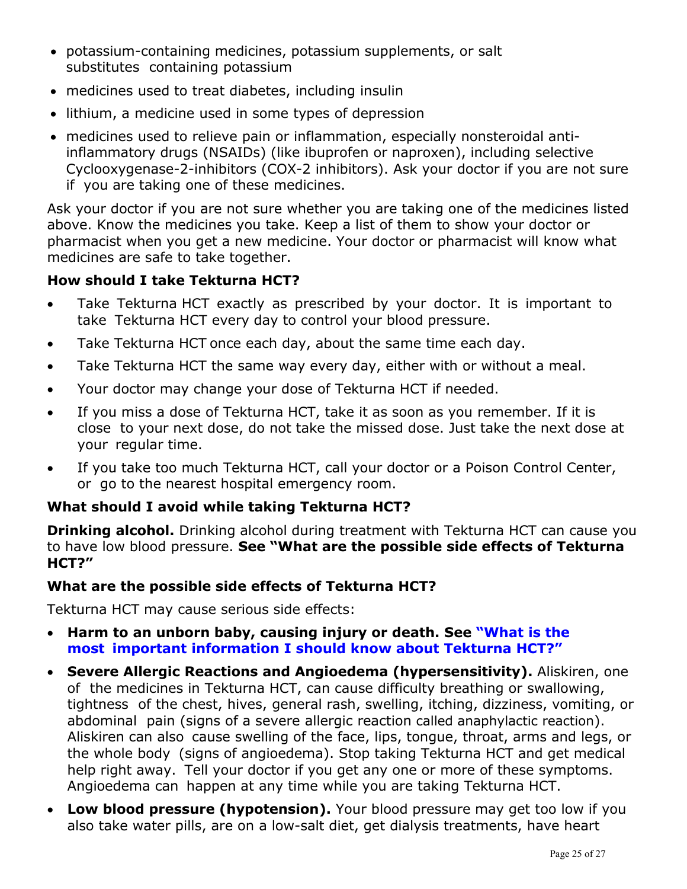- potassium-containing medicines, potassium supplements, or salt substitutes containing potassium
- medicines used to treat diabetes, including insulin
- lithium, a medicine used in some types of depression
- medicines used to relieve pain or inflammation, especially nonsteroidal antiinflammatory drugs (NSAIDs) (like ibuprofen or naproxen), including selective Cyclooxygenase-2-inhibitors (COX-2 inhibitors). Ask your doctor if you are not sure if you are taking one of these medicines.

Ask your doctor if you are not sure whether you are taking one of the medicines listed above. Know the medicines you take. Keep a list of them to show your doctor or pharmacist when you get a new medicine. Your doctor or pharmacist will know what medicines are safe to take together.

### **How should I take Tekturna HCT?**

- Take Tekturna HCT exactly as prescribed by your doctor. It is important to take Tekturna HCT every day to control your blood pressure.
- Take Tekturna HCT once each day, about the same time each day.
- Take Tekturna HCT the same way every day, either with or without a meal.
- Your doctor may change your dose of Tekturna HCT if needed.
- If you miss a dose of Tekturna HCT, take it as soon as you remember. If it is close to your next dose, do not take the missed dose. Just take the next dose at your regular time.
- If you take too much Tekturna HCT, call your doctor or a Poison Control Center, or go to the nearest hospital emergency room.

### **What should I avoid while taking Tekturna HCT?**

**Drinking alcohol.** Drinking alcohol during treatment with Tekturna HCT can cause you to have low blood pressure. **See "What are the possible side effects of Tekturna HCT?"**

### **What are the possible side effects of Tekturna HCT?**

Tekturna HCT may cause serious side effects:

- **Harm to an unborn baby, causing injury or death. See ["What](#page-0-0) is the most important [information I should know](#page-0-0) about Tekturna HCT?"**
- **Severe Allergic Reactions and Angioedema (hypersensitivity).** Aliskiren, one of the medicines in Tekturna HCT, can cause difficulty breathing or swallowing, tightness of the chest, hives, general rash, swelling, itching, dizziness, vomiting, or abdominal pain (signs of a severe allergic reaction called anaphylactic reaction). Aliskiren can also cause swelling of the face, lips, tongue, throat, arms and legs, or the whole body (signs of angioedema). Stop taking Tekturna HCT and get medical help right away. Tell your doctor if you get any one or more of these symptoms. Angioedema can happen at any time while you are taking Tekturna HCT.
- **Low blood pressure (hypotension).** Your blood pressure may get too low if you also take water pills, are on a low-salt diet, get dialysis treatments, have heart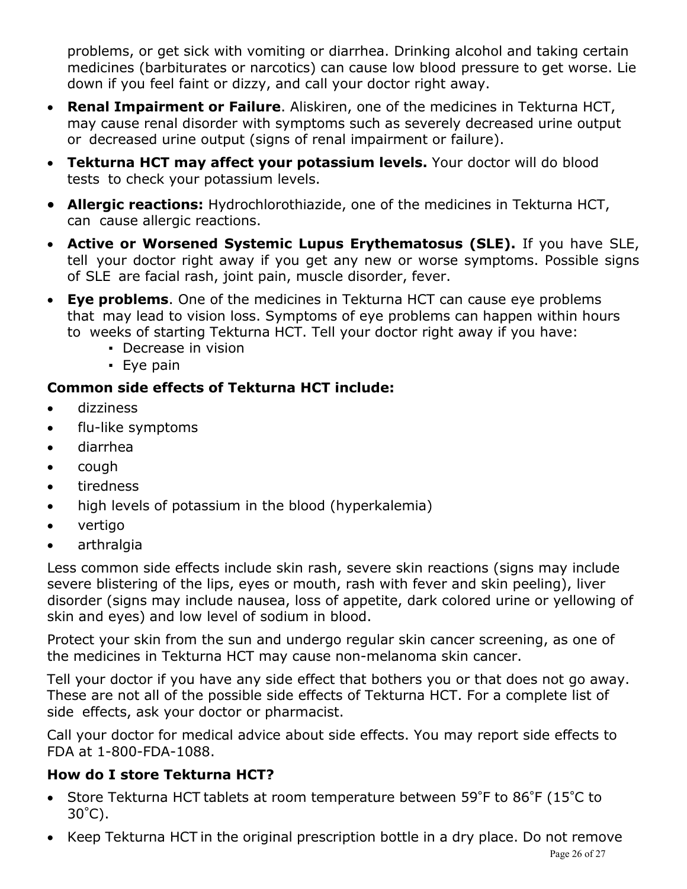problems, or get sick with vomiting or diarrhea. Drinking alcohol and taking certain medicines (barbiturates or narcotics) can cause low blood pressure to get worse. Lie down if you feel faint or dizzy, and call your doctor right away.

- **Renal Impairment or Failure**. Aliskiren, one of the medicines in Tekturna HCT, may cause renal disorder with symptoms such as severely decreased urine output or decreased urine output (signs of renal impairment or failure).
- **Tekturna HCT may affect your potassium levels.** Your doctor will do blood tests to check your potassium levels.
- **Allergic reactions:** Hydrochlorothiazide, one of the medicines in Tekturna HCT, can cause allergic reactions.
- **Active or Worsened Systemic Lupus Erythematosus (SLE).** If you have SLE, tell your doctor right away if you get any new or worse symptoms. Possible signs of SLE are facial rash, joint pain, muscle disorder, fever.
- **Eye problems**. One of the medicines in Tekturna HCT can cause eye problems that may lead to vision loss. Symptoms of eye problems can happen within hours to weeks of starting Tekturna HCT. Tell your doctor right away if you have:
	- **Decrease in vision**
	- Eye pain

# **Common side effects of Tekturna HCT include:**

- dizziness
- flu-like symptoms
- diarrhea
- cough
- tiredness
- high levels of potassium in the blood (hyperkalemia)
- vertigo
- arthralgia

Less common side effects include skin rash, severe skin reactions (signs may include severe blistering of the lips, eyes or mouth, rash with fever and skin peeling), liver disorder (signs may include nausea, loss of appetite, dark colored urine or yellowing of skin and eyes) and low level of sodium in blood.

Protect your skin from the sun and undergo regular skin cancer screening, as one of the medicines in Tekturna HCT may cause non-melanoma skin cancer.

Tell your doctor if you have any side effect that bothers you or that does not go away. These are not all of the possible side effects of Tekturna HCT. For a complete list of side effects, ask your doctor or pharmacist.

Call your doctor for medical advice about side effects. You may report side effects to FDA at 1-800-FDA-1088.

# **How do I store Tekturna HCT?**

- Store Tekturna HCT tablets at room temperature between 59°F to 86°F (15°C to 30°C).
- Keep Tekturna HCT in the original prescription bottle in a dry place. Do not remove